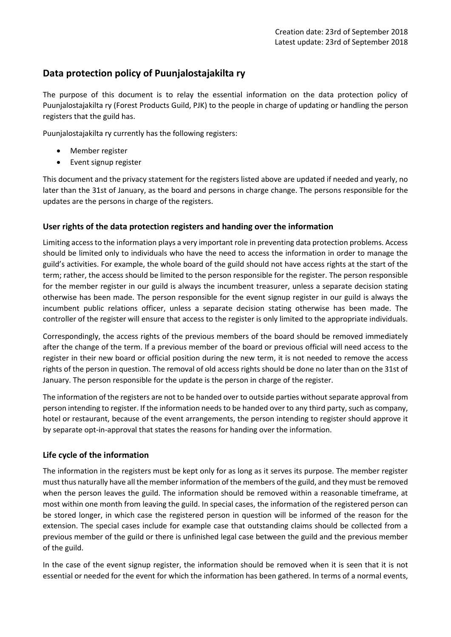# **Data protection policy of Puunjalostajakilta ry**

The purpose of this document is to relay the essential information on the data protection policy of Puunjalostajakilta ry (Forest Products Guild, PJK) to the people in charge of updating or handling the person registers that the guild has.

Puunjalostajakilta ry currently has the following registers:

- Member register
- Event signup register

This document and the privacy statement for the registers listed above are updated if needed and yearly, no later than the 31st of January, as the board and persons in charge change. The persons responsible for the updates are the persons in charge of the registers.

## **User rights of the data protection registers and handing over the information**

Limiting access to the information plays a very important role in preventing data protection problems. Access should be limited only to individuals who have the need to access the information in order to manage the guild's activities. For example, the whole board of the guild should not have access rights at the start of the term; rather, the access should be limited to the person responsible for the register. The person responsible for the member register in our guild is always the incumbent treasurer, unless a separate decision stating otherwise has been made. The person responsible for the event signup register in our guild is always the incumbent public relations officer, unless a separate decision stating otherwise has been made. The controller of the register will ensure that access to the register is only limited to the appropriate individuals.

Correspondingly, the access rights of the previous members of the board should be removed immediately after the change of the term. If a previous member of the board or previous official will need access to the register in their new board or official position during the new term, it is not needed to remove the access rights of the person in question. The removal of old access rights should be done no later than on the 31st of January. The person responsible for the update is the person in charge of the register.

The information of the registers are not to be handed over to outside parties without separate approval from person intending to register. If the information needs to be handed over to any third party, such as company, hotel or restaurant, because of the event arrangements, the person intending to register should approve it by separate opt-in-approval that states the reasons for handing over the information.

## **Life cycle of the information**

The information in the registers must be kept only for as long as it serves its purpose. The member register must thus naturally have all the member information of the members of the guild, and they must be removed when the person leaves the guild. The information should be removed within a reasonable timeframe, at most within one month from leaving the guild. In special cases, the information of the registered person can be stored longer, in which case the registered person in question will be informed of the reason for the extension. The special cases include for example case that outstanding claims should be collected from a previous member of the guild or there is unfinished legal case between the guild and the previous member of the guild.

In the case of the event signup register, the information should be removed when it is seen that it is not essential or needed for the event for which the information has been gathered. In terms of a normal events,